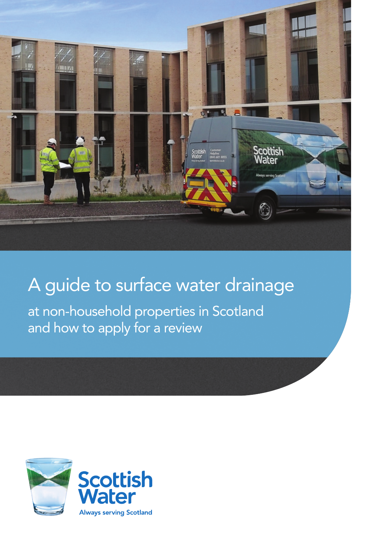

# A guide to surface water drainage

at non-household properties in Scotland<br>and how to apply for a review and how to apply for a review

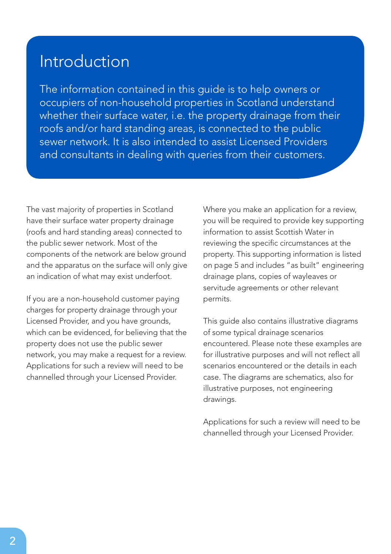#### Introduction

The information contained in this guide is to help owners or occupiers of non-household properties in Scotland understand whether their surface water, i.e. the property drainage from their roofs and/or hard standing areas, is connected to the public sewer network. It is also intended to assist Licensed Providers and consultants in dealing with queries from their customers.

The vast majority of properties in Scotland have their surface water property drainage (roofs and hard standing areas) connected to the public sewer network. Most of the components of the network are below ground and the apparatus on the surface will only give an indication of what may exist underfoot.

If you are a non-household customer paying charges for property drainage through your Licensed Provider, and you have grounds, which can be evidenced, for believing that the property does not use the public sewer network, you may make a request for a review. Applications for such a review will need to be channelled through your Licensed Provider.

Where you make an application for a review, you will be required to provide key supporting information to assist Scottish Water in reviewing the specific circumstances at the property. This supporting information is listed on page 5 and includes "as built" engineering drainage plans, copies of wayleaves or servitude agreements or other relevant permits.

This guide also contains illustrative diagrams of some typical drainage scenarios encountered. Please note these examples are for illustrative purposes and will not reflect all scenarios encountered or the details in each case. The diagrams are schematics, also for illustrative purposes, not engineering drawings.

Applications for such a review will need to be channelled through your Licensed Provider.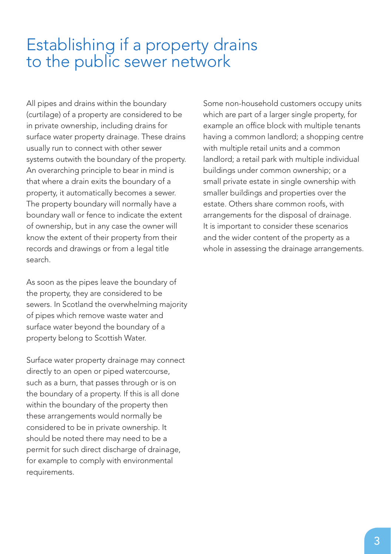#### Establishing if a property drains to the public sewer network

All pipes and drains within the boundary (curtilage) of a property are considered to be in private ownership, including drains for surface water property drainage. These drains usually run to connect with other sewer systems outwith the boundary of the property. An overarching principle to bear in mind is that where a drain exits the boundary of a property, it automatically becomes a sewer. The property boundary will normally have a boundary wall or fence to indicate the extent of ownership, but in any case the owner will know the extent of their property from their records and drawings or from a legal title search.

As soon as the pipes leave the boundary of the property, they are considered to be sewers. In Scotland the overwhelming majority of pipes which remove waste water and surface water beyond the boundary of a property belong to Scottish Water.

Surface water property drainage may connect directly to an open or piped watercourse, such as a burn, that passes through or is on the boundary of a property. If this is all done within the boundary of the property then these arrangements would normally be considered to be in private ownership. It should be noted there may need to be a permit for such direct discharge of drainage, for example to comply with environmental requirements.

Some non-household customers occupy units which are part of a larger single property, for example an office block with multiple tenants having a common landlord; a shopping centre with multiple retail units and a common landlord; a retail park with multiple individual buildings under common ownership; or a small private estate in single ownership with smaller buildings and properties over the estate. Others share common roofs, with arrangements for the disposal of drainage. It is important to consider these scenarios and the wider content of the property as a whole in assessing the drainage arrangements.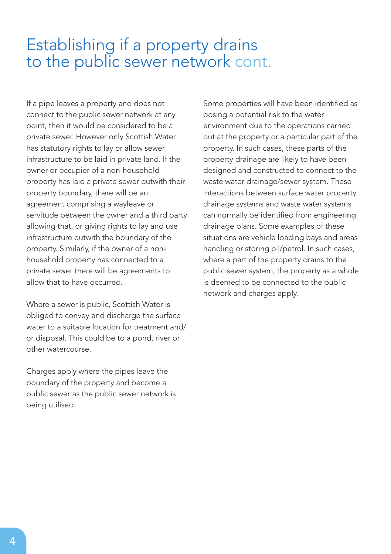#### Establishing if a property drains to the public sewer network cont.

If a pipe leaves a property and does not connect to the public sewer network at any point, then it would be considered to be a private sewer. However only Scottish Water has statutory rights to lay or allow sewer infrastructure to be laid in private land. If the owner or occupier of a non-household property has laid a private sewer outwith their property boundary, there will be an agreement comprising a wayleave or servitude between the owner and a third party allowing that, or giving rights to lay and use infrastructure outwith the boundary of the property. Similarly, if the owner of a nonhousehold property has connected to a private sewer there will be agreements to allow that to have occurred.

Where a sewer is public, Scottish Water is obliged to convey and discharge the surface water to a suitable location for treatment and/ or disposal. This could be to a pond, river or other watercourse.

Charges apply where the pipes leave the boundary of the property and become a public sewer as the public sewer network is being utilised.

Some properties will have been identified as posing a potential risk to the water environment due to the operations carried out at the property or a particular part of the property. In such cases, these parts of the property drainage are likely to have been designed and constructed to connect to the waste water drainage/sewer system. These interactions between surface water property drainage systems and waste water systems can normally be identified from engineering drainage plans. Some examples of these situations are vehicle loading bays and areas handling or storing oil/petrol. In such cases, where a part of the property drains to the public sewer system, the property as a whole is deemed to be connected to the public network and charges apply.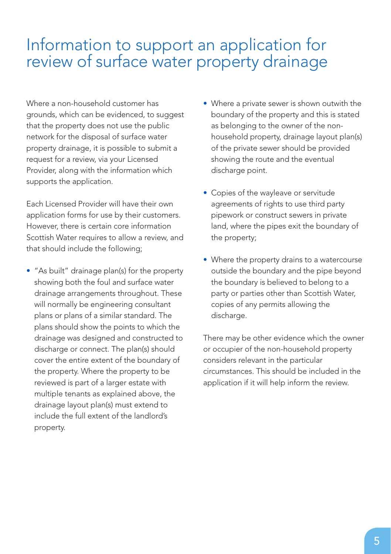#### Information to support an application for review of surface water property drainage

Where a non-household customer has grounds, which can be evidenced, to suggest that the property does not use the public network for the disposal of surface water property drainage, it is possible to submit a request for a review, via your Licensed Provider, along with the information which supports the application.

Each Licensed Provider will have their own application forms for use by their customers. However, there is certain core information Scottish Water requires to allow a review, and that should include the following;

• "As built" drainage plan(s) for the property showing both the foul and surface water drainage arrangements throughout. These will normally be engineering consultant plans or plans of a similar standard. The plans should show the points to which the drainage was designed and constructed to discharge or connect. The plan(s) should cover the entire extent of the boundary of the property. Where the property to be reviewed is part of a larger estate with multiple tenants as explained above, the drainage layout plan(s) must extend to include the full extent of the landlord's property.

- Where a private sewer is shown outwith the boundary of the property and this is stated as belonging to the owner of the nonhousehold property, drainage layout plan(s) of the private sewer should be provided showing the route and the eventual discharge point.
- Copies of the wayleave or servitude agreements of rights to use third party pipework or construct sewers in private land, where the pipes exit the boundary of the property;
- Where the property drains to a watercourse outside the boundary and the pipe beyond the boundary is believed to belong to a party or parties other than Scottish Water, copies of any permits allowing the discharge.

There may be other evidence which the owner or occupier of the non-household property considers relevant in the particular circumstances. This should be included in the application if it will help inform the review.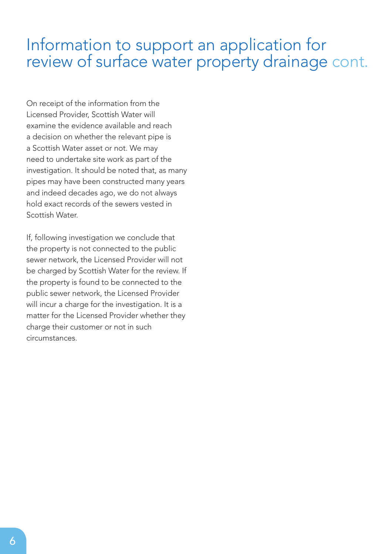#### Information to support an application for review of surface water property drainage cont.

On receipt of the information from the Licensed Provider, Scottish Water will examine the evidence available and reach a decision on whether the relevant pipe is a Scottish Water asset or not. We may need to undertake site work as part of the investigation. It should be noted that, as many pipes may have been constructed many years and indeed decades ago, we do not always hold exact records of the sewers vested in Scottish Water.

If, following investigation we conclude that the property is not connected to the public sewer network, the Licensed Provider will not be charged by Scottish Water for the review. If the property is found to be connected to the public sewer network, the Licensed Provider will incur a charge for the investigation. It is a matter for the Licensed Provider whether they charge their customer or not in such circumstances.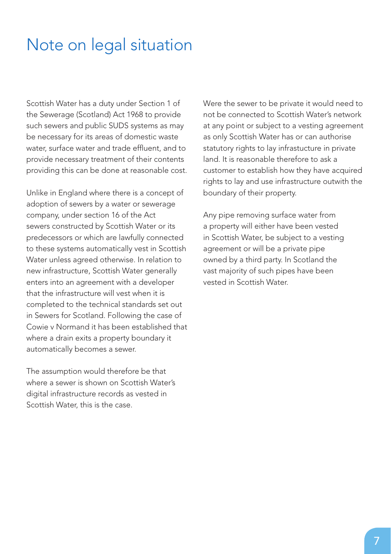#### Note on legal situation

Scottish Water has a duty under Section 1 of the Sewerage (Scotland) Act 1968 to provide such sewers and public SUDS systems as may be necessary for its areas of domestic waste water, surface water and trade effluent, and to provide necessary treatment of their contents providing this can be done at reasonable cost.

Unlike in England where there is a concept of adoption of sewers by a water or sewerage company, under section 16 of the Act sewers constructed by Scottish Water or its predecessors or which are lawfully connected to these systems automatically vest in Scottish Water unless agreed otherwise. In relation to new infrastructure, Scottish Water generally enters into an agreement with a developer that the infrastructure will vest when it is completed to the technical standards set out in Sewers for Scotland. Following the case of Cowie v Normand it has been established that where a drain exits a property boundary it automatically becomes a sewer.

The assumption would therefore be that where a sewer is shown on Scottish Water's digital infrastructure records as vested in Scottish Water, this is the case.

Were the sewer to be private it would need to not be connected to Scottish Water's network at any point or subject to a vesting agreement as only Scottish Water has or can authorise statutory rights to lay infrastucture in private land. It is reasonable therefore to ask a customer to establish how they have acquired rights to lay and use infrastructure outwith the boundary of their property.

Any pipe removing surface water from a property will either have been vested in Scottish Water, be subject to a vesting agreement or will be a private pipe owned by a third party. In Scotland the vast majority of such pipes have been vested in Scottish Water.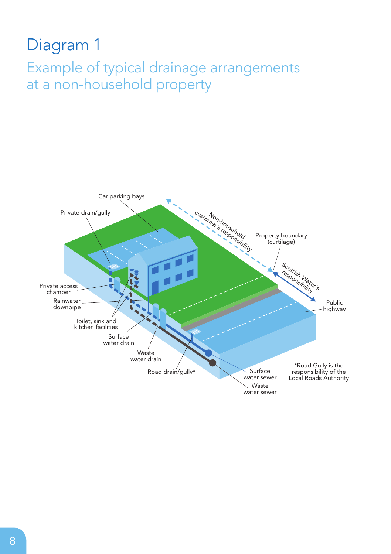## Diagram 1 Example of typical drainage arrangements at a non-household property

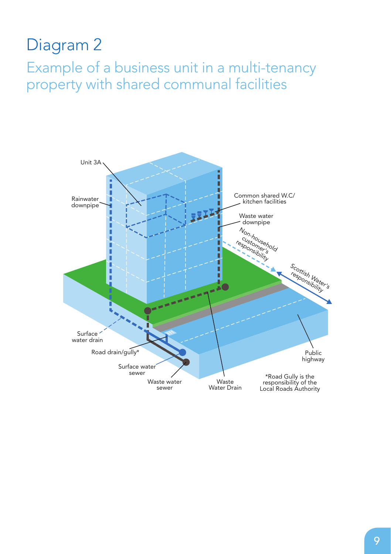## Diagram 2

Example of a business unit in a multi-tenancy property with shared communal facilities

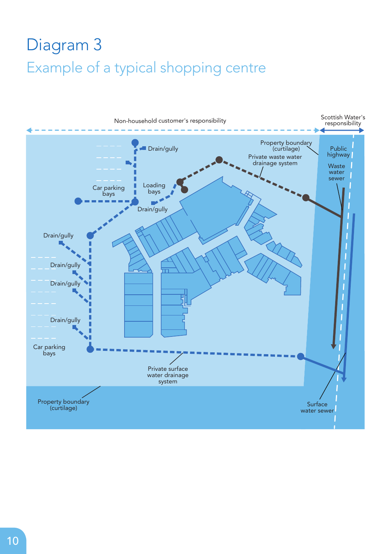## Diagram 3 Example of a typical shopping centre

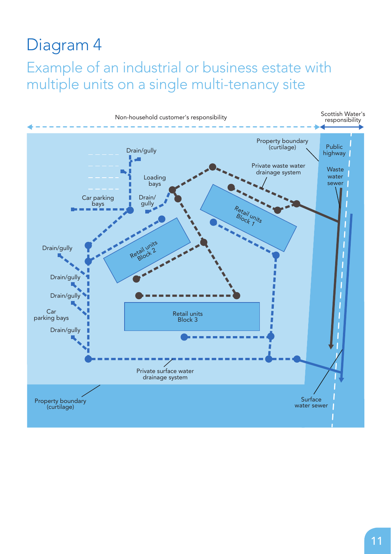#### Diagram 4

Example of an industrial or business estate with multiple units on a single multi-tenancy site Diagram 4